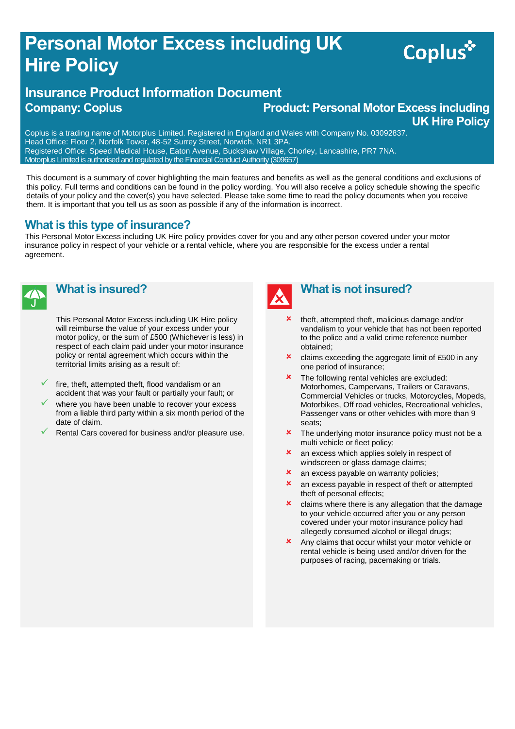## **Personal Motor Excess including UK Hire Policy**

#### **Insurance Product Information Document Company: Coplus <b>Product: Personal Motor Excess including**  $\blacksquare$

# **UK Hire Policy**

Coplus\*

Coplus is a trading name of Motorplus Limited. Registered in England and Wales with Company No. 03092837. Head Office: Floor 2, Norfolk Tower, 48-52 Surrey Street, Norwich, NR1 3PA. Registered Office: Speed Medical House, Eaton Avenue, Buckshaw Village, Chorley, Lancashire, PR7 7NA. Motorplus Limited is authorised and regulated by the Financial Conduct Authority (309657)

This document is a summary of cover highlighting the main features and benefits as well as the general conditions and exclusions of this policy. Full terms and conditions can be found in the policy wording. You will also receive a policy schedule showing the specific details of your policy and the cover(s) you have selected. Please take some time to read the policy documents when you receive them. It is important that you tell us as soon as possible if any of the information is incorrect.

#### **What is this type of insurance?**

This Personal Motor Excess including UK Hire policy provides cover for you and any other person covered under your motor insurance policy in respect of your vehicle or a rental vehicle, where you are responsible for the excess under a rental agreement.



#### **What is insured?**

This Personal Motor Excess including UK Hire policy will reimburse the value of your excess under your motor policy, or the sum of £500 (Whichever is less) in respect of each claim paid under your motor insurance policy or rental agreement which occurs within the territorial limits arising as a result of:

- fire, theft, attempted theft, flood vandalism or an accident that was your fault or partially your fault; or
- where you have been unable to recover your excess from a liable third party within a six month period of the date of claim.
- Rental Cars covered for business and/or pleasure use.



#### **What is not insured?**

- theft, attempted theft, malicious damage and/or vandalism to your vehicle that has not been reported to the police and a valid crime reference number obtained;
- $\overline{\phantom{a}}$  claims exceeding the aggregate limit of £500 in any one period of insurance;
- The following rental vehicles are excluded: Motorhomes, Campervans, Trailers or Caravans, Commercial Vehicles or trucks, Motorcycles, Mopeds, Motorbikes, Off road vehicles, Recreational vehicles, Passenger vans or other vehicles with more than 9 seats;
- The underlying motor insurance policy must not be a multi vehicle or fleet policy;
- **x** an excess which applies solely in respect of windscreen or glass damage claims;
- **x** an excess payable on warranty policies;
- **x** an excess payable in respect of theft or attempted theft of personal effects;
- claims where there is any allegation that the damage to your vehicle occurred after you or any person covered under your motor insurance policy had allegedly consumed alcohol or illegal drugs;
- Any claims that occur whilst your motor vehicle or rental vehicle is being used and/or driven for the purposes of racing, pacemaking or trials.